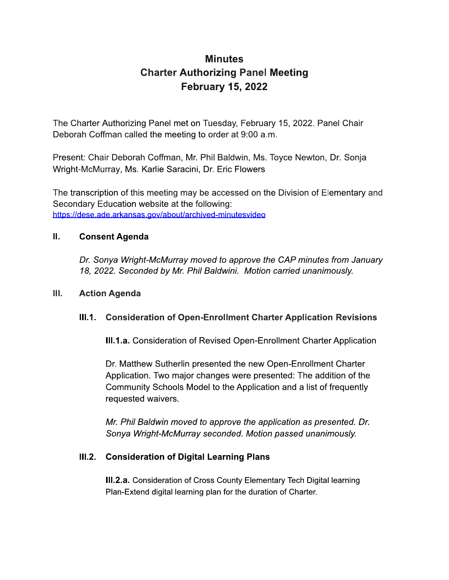# **Minutes Charter Authorizing Panel Meeting February 15, 2022**

The Charter Authorizing Panel met on Tuesday, February 15, 2022. Panel Chair Deborah Coffman called the meeting to order at 9:00 a.m.

Present: Chair Deborah Coffman, Mr. Phil Baldwin, Ms. Toyce Newton, Dr. Sonja Wright-McMurray, Ms. Karlie Saracini, Dr. Eric Flowers

The transcription of this meeting may be accessed on the Division of Elementary and Secondary Education website at the following: https://dese.ade.arkansas.gov/about/archived-minutesvideo

#### П. **Consent Agenda**

Dr. Sonya Wright-McMurray moved to approve the CAP minutes from January 18, 2022. Seconded by Mr. Phil Baldwini. Motion carried unanimously.

#### Ш. **Action Agenda**

#### $III.1.$ **Consideration of Open-Enrollment Charter Application Revisions**

III.1.a. Consideration of Revised Open-Enrollment Charter Application

Dr. Matthew Sutherlin presented the new Open-Enrollment Charter Application. Two major changes were presented: The addition of the Community Schools Model to the Application and a list of frequently requested waivers.

Mr. Phil Baldwin moved to approve the application as presented. Dr. Sonya Wright-McMurray seconded. Motion passed unanimously.

### III.2. Consideration of Digital Learning Plans

III.2.a. Consideration of Cross County Elementary Tech Digital learning Plan-Extend digital learning plan for the duration of Charter.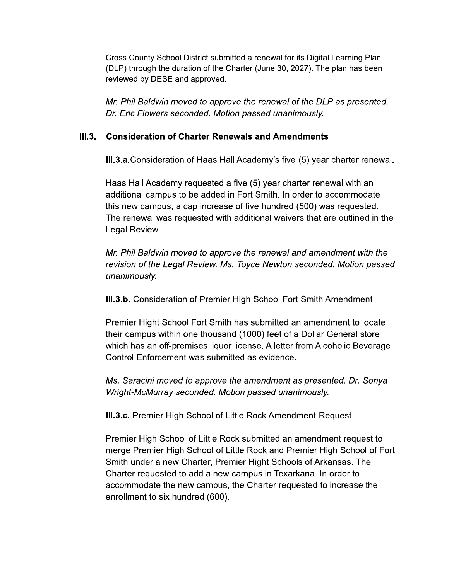Cross County School District submitted a renewal for its Digital Learning Plan (DLP) through the duration of the Charter (June 30, 2027). The plan has been  $\overline{\phantom{a}}$ reviewed by DESE and approved. Cross County School District submitted a renewal for its Digital Learning Plan (DLP) through the duration of the Charter (June 30, 2027). The plan has been reviewed by DESE and approved.<br> *Mr. Phil Baldwin moved to approve* Cross County School District submitted a renewal for its Digital<br>(DLP) through the duration of the Charter (June 30, 2027). The<br>reviewed by DESE and approved.<br>Mr. Phil Baldwin moved to approve the renewal of the DLF<br>Dr. Er

## III.3. Consideration of Charter Renewals and Amendments

**III.3.a.**Consideration of Haas Hall Academy's five (5) year charter renewal.

Haas Hall Academy requested a five (5) year charter renewal with an  $\;$ additional campus to be added in Fort Smith. In order to accommodate  $\overline{\phantom{a}}$  ${\mathop{\mathsf{tnis}}}$  new campus, a cap increase of five nundred (500) was requested. The renewal was requested with additional walvers that are outlined in the Legal Review. Haas Hall Academy requested a five (5) year charter renewal with an additional campus to be added in Fort Smith. In order to accommodate this new campus, a cap increase of five hundred (500) was requested. The renewal was Haas Hall Academy requested a five (5) year charter renewal with an<br>additional campus to be added in Fort Smith. In order to accommodate<br>this new campus, a cap increase of five hundred (500) was requested.<br>The renewal was

unanimously.

 $\textsf{III}.$ 3.D. Consideration of Premier High School Fort Smith Amendment  $\blacksquare$ 

Premier Hight School Fort Smith has submitted an amendment to locate their campus within one thousand  $(1000)$  feet of a Dollar General store  $\overline{\phantom{a}}$ which has an oπ-premises liquor license. A letter from Alconolic Beverage Control Enforcement was submitted as evidence. III.3.b. Consideration of Premier High School Fort Smith Amendment<br>
Premier Hight School Fort Smith has submitted an amendment to locate<br>
their campus within one thousand (1000) feet of a Dollar General store<br>
which has an

**III.3.C.** Premier Hign School of Little Rock Amendment Request

Premier Hight School Fort Smith has submitted an amendm<br>their campus within one thousand (1000) feet of a Dollar Ge<br>which has an off-premises liquor license. A letter from Alcoh<br>Control Enforcement was submitted as evidenc Premier Hign School of Little Rock submitted an amendment request to merge Premier Hign School of Little Rock and Premier Hign School of Fort Smith under a new Charter, Premier Hight Schools of Arkansas. The Charter requested to add a new campus in Texarkana. In order to accommodate the new campus, the Charter requested to increase the enrollment to six nundred (600).